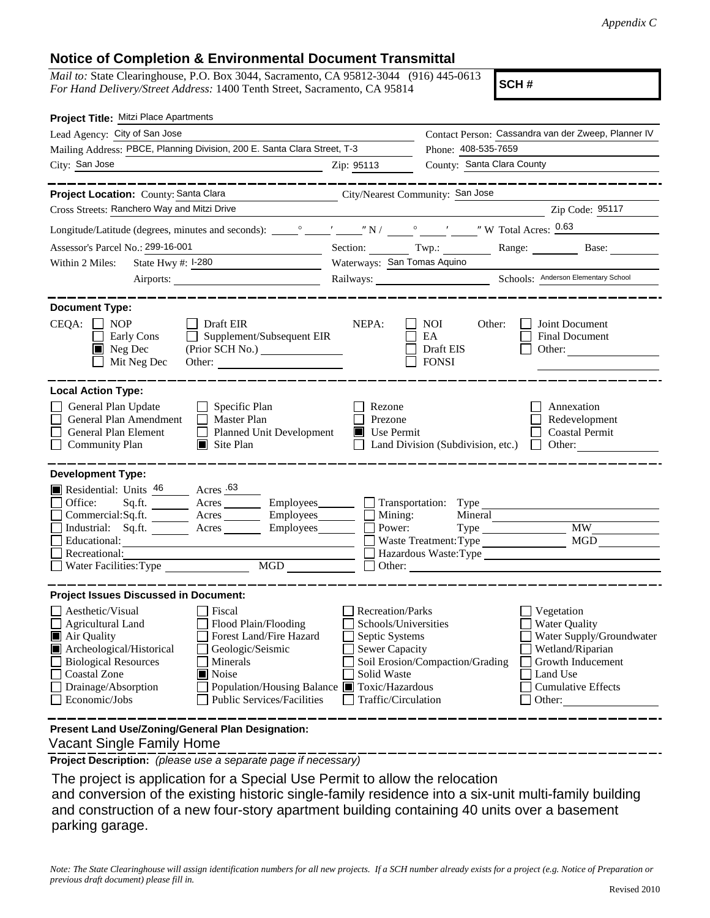## **Notice of Completion & Environmental Document Transmittal**

*Mail to:* State Clearinghouse, P.O. Box 3044, Sacramento, CA 95812-3044 (916) 445-0613 *For Hand Delivery/Street Address:* 1400 Tenth Street, Sacramento, CA 95814

**SCH #**

| Project Title: Mitzi Place Apartments                                                                                                                                                                                                                                                                                                     |                                                                                                                                                                                |                                                                                                                                                                                                                                                                                                           |                                                                                                                                                            |
|-------------------------------------------------------------------------------------------------------------------------------------------------------------------------------------------------------------------------------------------------------------------------------------------------------------------------------------------|--------------------------------------------------------------------------------------------------------------------------------------------------------------------------------|-----------------------------------------------------------------------------------------------------------------------------------------------------------------------------------------------------------------------------------------------------------------------------------------------------------|------------------------------------------------------------------------------------------------------------------------------------------------------------|
| Lead Agency: City of San Jose                                                                                                                                                                                                                                                                                                             |                                                                                                                                                                                | Contact Person: Cassandra van der Zweep, Planner IV                                                                                                                                                                                                                                                       |                                                                                                                                                            |
| Mailing Address: PBCE, Planning Division, 200 E. Santa Clara Street, T-3                                                                                                                                                                                                                                                                  |                                                                                                                                                                                | Phone: 408-535-7659                                                                                                                                                                                                                                                                                       |                                                                                                                                                            |
| City: San Jose<br><u>2</u> Zip: 95113                                                                                                                                                                                                                                                                                                     |                                                                                                                                                                                | County: Santa Clara County                                                                                                                                                                                                                                                                                |                                                                                                                                                            |
| ________<br>Project Location: County: Santa Clara                                                                                                                                                                                                                                                                                         |                                                                                                                                                                                | City/Nearest Community: San Jose                                                                                                                                                                                                                                                                          |                                                                                                                                                            |
| Cross Streets: Ranchero Way and Mitzi Drive                                                                                                                                                                                                                                                                                               |                                                                                                                                                                                |                                                                                                                                                                                                                                                                                                           | Zip Code: 95117                                                                                                                                            |
|                                                                                                                                                                                                                                                                                                                                           |                                                                                                                                                                                |                                                                                                                                                                                                                                                                                                           |                                                                                                                                                            |
| Assessor's Parcel No.: 299-16-001                                                                                                                                                                                                                                                                                                         |                                                                                                                                                                                | Section: Twp.: Range: Base:                                                                                                                                                                                                                                                                               |                                                                                                                                                            |
| State Hwy #: 1-280<br>Within 2 Miles:                                                                                                                                                                                                                                                                                                     | Waterways: San Tomas Aquino                                                                                                                                                    |                                                                                                                                                                                                                                                                                                           |                                                                                                                                                            |
|                                                                                                                                                                                                                                                                                                                                           |                                                                                                                                                                                |                                                                                                                                                                                                                                                                                                           |                                                                                                                                                            |
| <b>Document Type:</b>                                                                                                                                                                                                                                                                                                                     |                                                                                                                                                                                |                                                                                                                                                                                                                                                                                                           |                                                                                                                                                            |
| $CEQA: \Box NOP$<br>Draft EIR<br>$\Box$ Supplement/Subsequent EIR<br>Early Cons<br>Neg Dec<br>(Prior SCH No.)<br>Mit Neg Dec<br>Other: $\qquad \qquad$                                                                                                                                                                                    | NEPA:                                                                                                                                                                          | NOI 11<br>Other:<br>EA<br>Draft EIS<br><b>FONSI</b>                                                                                                                                                                                                                                                       | Joint Document<br><b>Final Document</b><br>Other:                                                                                                          |
| <b>Local Action Type:</b><br>General Plan Update<br>$\Box$ Specific Plan<br>General Plan Amendment<br>Master Plan<br>$\Box$<br>General Plan Element<br>Planned Unit Development<br>$\Box$ Community Plan<br>$\Box$ Site Plan                                                                                                              | Rezone<br>Prezone<br>Use Permit<br>T                                                                                                                                           | Land Division (Subdivision, etc.)                                                                                                                                                                                                                                                                         | Annexation<br>Redevelopment<br><b>Coastal Permit</b><br>$\Box$ Other:                                                                                      |
| <b>Development Type:</b><br>Residential: Units $\frac{46}{ }$ Acres .63<br>Office:<br>Commercial:Sq.ft. _________ Acres _______<br>Industrial: Sq.ft. _______ Acres ______<br>Educational:<br>$\Box$ Recreational:<br>$\underbrace{\hbox{MGD}}$<br>Water Facilities: Type                                                                 | Employees________<br>Mining:<br>Employees________<br>Power:<br>Employees_______                                                                                                | Transportation: Type<br>Mineral<br>$Type \_\_$<br>Hazardous Waste: Type<br>Other: The Company of the Company of the Company of the Company of the Company of the Company of the Company of the Company of the Company of the Company of the Company of the Company of the Company of the Company of the C | <b>MW</b><br>MGD                                                                                                                                           |
| <b>Project Issues Discussed in Document:</b>                                                                                                                                                                                                                                                                                              |                                                                                                                                                                                |                                                                                                                                                                                                                                                                                                           |                                                                                                                                                            |
| Aesthetic/Visual<br><b>Fiscal</b><br>$\Box$ Agricultural Land<br>Flood Plain/Flooding<br>Air Quality<br>Forest Land/Fire Hazard<br>Archeological/Historical<br>Geologic/Seismic<br>Biological Resources<br>Minerals<br>Coastal Zone<br><b>■</b> Noise<br>Drainage/Absorption<br><b>Public Services/Facilities</b><br>$\Box$ Economic/Jobs | <b>Recreation/Parks</b><br>Schools/Universities<br>Septic Systems<br><b>Sewer Capacity</b><br>Solid Waste<br>Population/Housing Balance Toxic/Hazardous<br>Traffic/Circulation | Soil Erosion/Compaction/Grading                                                                                                                                                                                                                                                                           | Vegetation<br><b>Water Quality</b><br>Water Supply/Groundwater<br>Wetland/Riparian<br>Growth Inducement<br>Land Use<br><b>Cumulative Effects</b><br>Other: |
| Present Land Use/Zoning/General Plan Designation:                                                                                                                                                                                                                                                                                         |                                                                                                                                                                                |                                                                                                                                                                                                                                                                                                           |                                                                                                                                                            |

Vacant Single Family Home

**Project Description:** *(please use a separate page if necessary)*

 The project is application for a Special Use Permit to allow the relocation and conversion of the existing historic single-family residence into a six-unit multi-family building and construction of a new four-story apartment building containing 40 units over a basement parking garage.